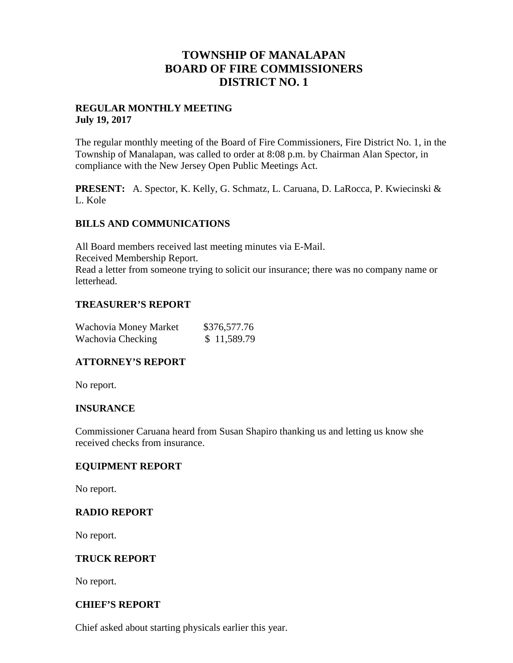# **TOWNSHIP OF MANALAPAN BOARD OF FIRE COMMISSIONERS DISTRICT NO. 1**

### **REGULAR MONTHLY MEETING July 19, 2017**

The regular monthly meeting of the Board of Fire Commissioners, Fire District No. 1, in the Township of Manalapan, was called to order at 8:08 p.m. by Chairman Alan Spector, in compliance with the New Jersey Open Public Meetings Act.

**PRESENT:** A. Spector, K. Kelly, G. Schmatz, L. Caruana, D. LaRocca, P. Kwiecinski & L. Kole

#### **BILLS AND COMMUNICATIONS**

All Board members received last meeting minutes via E-Mail. Received Membership Report. Read a letter from someone trying to solicit our insurance; there was no company name or letterhead.

### **TREASURER'S REPORT**

| Wachovia Money Market | \$376,577.76 |
|-----------------------|--------------|
| Wachovia Checking     | \$11,589.79  |

## **ATTORNEY'S REPORT**

No report.

## **INSURANCE**

Commissioner Caruana heard from Susan Shapiro thanking us and letting us know she received checks from insurance.

#### **EQUIPMENT REPORT**

No report.

#### **RADIO REPORT**

No report.

#### **TRUCK REPORT**

No report.

### **CHIEF'S REPORT**

Chief asked about starting physicals earlier this year.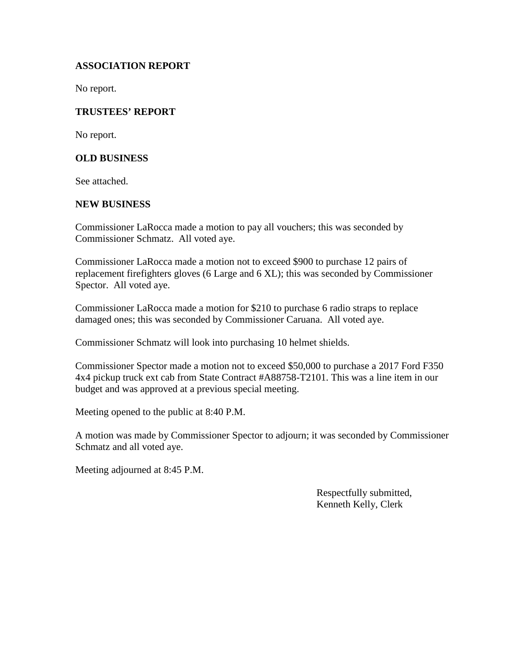## **ASSOCIATION REPORT**

No report.

#### **TRUSTEES' REPORT**

No report.

#### **OLD BUSINESS**

See attached.

#### **NEW BUSINESS**

Commissioner LaRocca made a motion to pay all vouchers; this was seconded by Commissioner Schmatz. All voted aye.

Commissioner LaRocca made a motion not to exceed \$900 to purchase 12 pairs of replacement firefighters gloves (6 Large and 6 XL); this was seconded by Commissioner Spector. All voted aye.

Commissioner LaRocca made a motion for \$210 to purchase 6 radio straps to replace damaged ones; this was seconded by Commissioner Caruana. All voted aye.

Commissioner Schmatz will look into purchasing 10 helmet shields.

Commissioner Spector made a motion not to exceed \$50,000 to purchase a 2017 Ford F350 4x4 pickup truck ext cab from State Contract #A88758-T2101. This was a line item in our budget and was approved at a previous special meeting.

Meeting opened to the public at 8:40 P.M.

A motion was made by Commissioner Spector to adjourn; it was seconded by Commissioner Schmatz and all voted aye.

Meeting adjourned at 8:45 P.M.

Respectfully submitted, Kenneth Kelly, Clerk